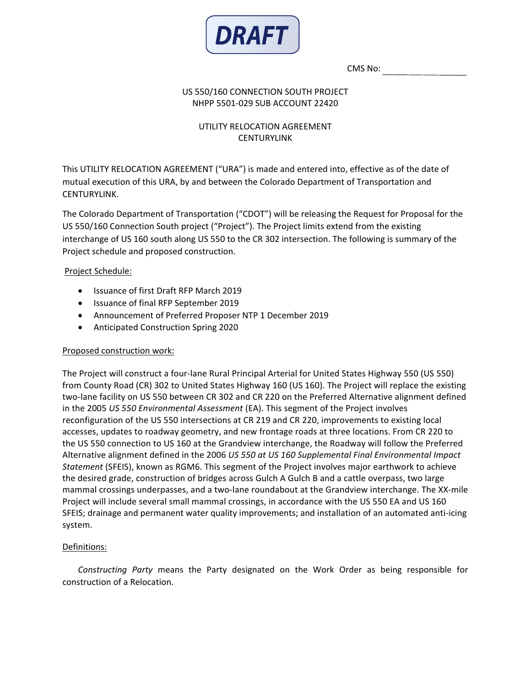

CMS No:

### US 550/160 CONNECTION SOUTH PROJECT NHPP 5501-029 SUB ACCOUNT 22420

# UTILITY RELOCATION AGREEMENT **CENTURYLINK**

This UTILITY RELOCATION AGREEMENT ("URA") is made and entered into, effective as of the date of mutual execution of this URA, by and between the Colorado Department of Transportation and CENTURYLINK.

The Colorado Department of Transportation ("CDOT") will be releasing the Request for Proposal for the US 550/160 Connection South project ("Project"). The Project limits extend from the existing interchange of US 160 south along US 550 to the CR 302 intersection. The following is summary of the Project schedule and proposed construction.

## Project Schedule:

- Issuance of first Draft RFP March 2019
- Issuance of final RFP September 2019
- Announcement of Preferred Proposer NTP 1 December 2019
- Anticipated Construction Spring 2020

### Proposed construction work:

The Project will construct a four-lane Rural Principal Arterial for United States Highway 550 (US 550) from County Road (CR) 302 to United States Highway 160 (US 160). The Project will replace the existing two-lane facility on US 550 between CR 302 and CR 220 on the Preferred Alternative alignment defined in the 2005 *US 550 Environmental Assessment* (EA). This segment of the Project involves reconfiguration of the US 550 intersections at CR 219 and CR 220, improvements to existing local accesses, updates to roadway geometry, and new frontage roads at three locations. From CR 220 to the US 550 connection to US 160 at the Grandview interchange, the Roadway will follow the Preferred Alternative alignment defined in the 2006 *US 550 at US 160 Supplemental Final Environmental Impact Statement* (SFEIS), known as RGM6. This segment of the Project involves major earthwork to achieve the desired grade, construction of bridges across Gulch A Gulch B and a cattle overpass, two large mammal crossings underpasses, and a two-lane roundabout at the Grandview interchange. The XX-mile Project will include several small mammal crossings, in accordance with the US 550 EA and US 160 SFEIS; drainage and permanent water quality improvements; and installation of an automated anti-icing system.

## Definitions:

*Constructing Party* means the Party designated on the Work Order as being responsible for construction of a Relocation.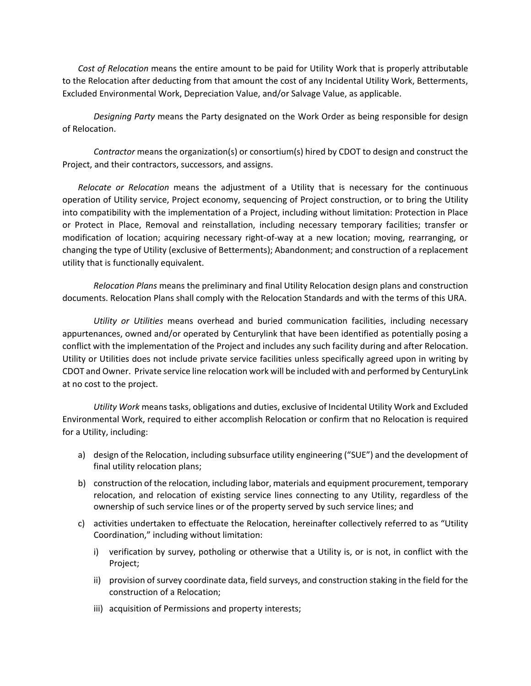*Cost of Relocation* means the entire amount to be paid for Utility Work that is properly attributable to the Relocation after deducting from that amount the cost of any Incidental Utility Work, Betterments, Excluded Environmental Work, Depreciation Value, and/or Salvage Value, as applicable.

*Designing Party* means the Party designated on the Work Order as being responsible for design of Relocation.

*Contractor* means the organization(s) or consortium(s) hired by CDOT to design and construct the Project, and their contractors, successors, and assigns.

*Relocate or Relocation* means the adjustment of a Utility that is necessary for the continuous operation of Utility service, Project economy, sequencing of Project construction, or to bring the Utility into compatibility with the implementation of a Project, including without limitation: Protection in Place or Protect in Place, Removal and reinstallation, including necessary temporary facilities; transfer or modification of location; acquiring necessary right-of-way at a new location; moving, rearranging, or changing the type of Utility (exclusive of Betterments); Abandonment; and construction of a replacement utility that is functionally equivalent.

*Relocation Plans* means the preliminary and final Utility Relocation design plans and construction documents. Relocation Plans shall comply with the Relocation Standards and with the terms of this URA.

*Utility or Utilities* means overhead and buried communication facilities, including necessary appurtenances, owned and/or operated by Centurylink that have been identified as potentially posing a conflict with the implementation of the Project and includes any such facility during and after Relocation. Utility or Utilities does not include private service facilities unless specifically agreed upon in writing by CDOT and Owner. Private service line relocation work will be included with and performed by CenturyLink at no cost to the project.

*Utility Work* means tasks, obligations and duties, exclusive of Incidental Utility Work and Excluded Environmental Work, required to either accomplish Relocation or confirm that no Relocation is required for a Utility, including:

- a) design of the Relocation, including subsurface utility engineering ("SUE") and the development of final utility relocation plans;
- b) construction of the relocation, including labor, materials and equipment procurement, temporary relocation, and relocation of existing service lines connecting to any Utility, regardless of the ownership of such service lines or of the property served by such service lines; and
- c) activities undertaken to effectuate the Relocation, hereinafter collectively referred to as "Utility Coordination," including without limitation:
	- i) verification by survey, potholing or otherwise that a Utility is, or is not, in conflict with the Project;
	- ii) provision of survey coordinate data, field surveys, and construction staking in the field for the construction of a Relocation;
	- iii) acquisition of Permissions and property interests;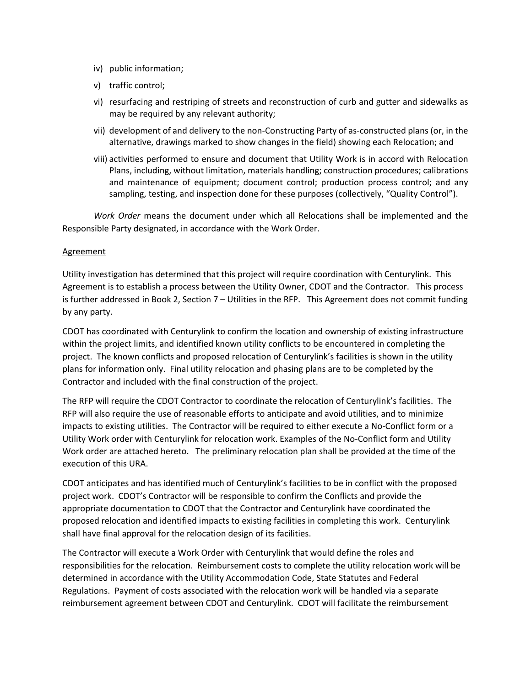- iv) public information;
- v) traffic control;
- vi) resurfacing and restriping of streets and reconstruction of curb and gutter and sidewalks as may be required by any relevant authority;
- vii) development of and delivery to the non-Constructing Party of as-constructed plans (or, in the alternative, drawings marked to show changes in the field) showing each Relocation; and
- viii) activities performed to ensure and document that Utility Work is in accord with Relocation Plans, including, without limitation, materials handling; construction procedures; calibrations and maintenance of equipment; document control; production process control; and any sampling, testing, and inspection done for these purposes (collectively, "Quality Control").

*Work Order* means the document under which all Relocations shall be implemented and the Responsible Party designated, in accordance with the Work Order.

#### Agreement

Utility investigation has determined that this project will require coordination with Centurylink. This Agreement is to establish a process between the Utility Owner, CDOT and the Contractor. This process is further addressed in Book 2, Section 7 – Utilities in the RFP. This Agreement does not commit funding by any party.

CDOT has coordinated with Centurylink to confirm the location and ownership of existing infrastructure within the project limits, and identified known utility conflicts to be encountered in completing the project. The known conflicts and proposed relocation of Centurylink's facilities is shown in the utility plans for information only. Final utility relocation and phasing plans are to be completed by the Contractor and included with the final construction of the project.

The RFP will require the CDOT Contractor to coordinate the relocation of Centurylink's facilities. The RFP will also require the use of reasonable efforts to anticipate and avoid utilities, and to minimize impacts to existing utilities. The Contractor will be required to either execute a No-Conflict form or a Utility Work order with Centurylink for relocation work. Examples of the No-Conflict form and Utility Work order are attached hereto. The preliminary relocation plan shall be provided at the time of the execution of this URA.

CDOT anticipates and has identified much of Centurylink's facilities to be in conflict with the proposed project work. CDOT's Contractor will be responsible to confirm the Conflicts and provide the appropriate documentation to CDOT that the Contractor and Centurylink have coordinated the proposed relocation and identified impacts to existing facilities in completing this work. Centurylink shall have final approval for the relocation design of its facilities.

The Contractor will execute a Work Order with Centurylink that would define the roles and responsibilities for the relocation. Reimbursement costs to complete the utility relocation work will be determined in accordance with the Utility Accommodation Code, State Statutes and Federal Regulations. Payment of costs associated with the relocation work will be handled via a separate reimbursement agreement between CDOT and Centurylink. CDOT will facilitate the reimbursement